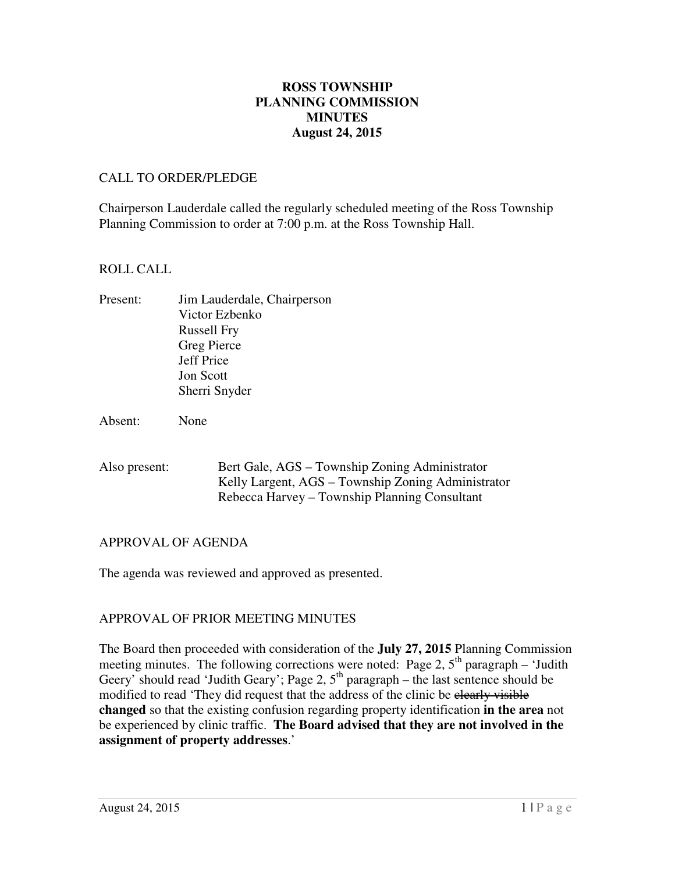## **August 24, 2015 ROSS TOWNSHIP PLANNING COMMISSION MINUTES**

#### CALL TO ORDER/PLEDGE

 Chairperson Lauderdale called the regularly scheduled meeting of the Ross Township Planning Commission to order at 7:00 p.m. at the Ross Township Hall.

#### ROLL CALL

Present: Russell Fry Greg Pierce Jeff Price Jon Scott Sherri Snyder Jim Lauderdale, Chairperson Victor Ezbenko

Absent: None

| Also present: | Bert Gale, AGS – Township Zoning Administrator     |
|---------------|----------------------------------------------------|
|               | Kelly Largent, AGS – Township Zoning Administrator |
|               | Rebecca Harvey – Township Planning Consultant      |

## APPROVAL OF AGENDA

The agenda was reviewed and approved as presented.

## APPROVAL OF PRIOR MEETING MINUTES

 The Board then proceeded with consideration of the **July 27, 2015** Planning Commission meeting minutes. The following corrections were noted: Page 2,  $5<sup>th</sup>$  paragraph – 'Judith Geery' should read 'Judith Geary'; Page 2,  $5<sup>th</sup>$  paragraph – the last sentence should be modified to read 'They did request that the address of the clinic be elearly visible **changed** so that the existing confusion regarding property identification **in the area** not be experienced by clinic traffic. **The Board advised that they are not involved in the assignment of property addresses**.'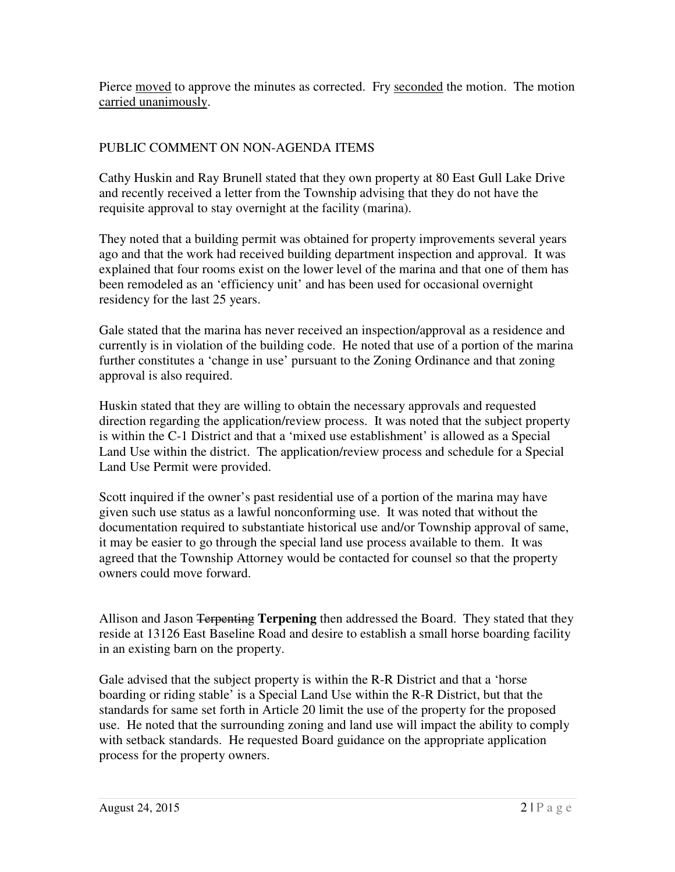Pierce moved to approve the minutes as corrected. Fry seconded the motion. The motion carried unanimously.

# PUBLIC COMMENT ON NON-AGENDA ITEMS

 Cathy Huskin and Ray Brunell stated that they own property at 80 East Gull Lake Drive and recently received a letter from the Township advising that they do not have the requisite approval to stay overnight at the facility (marina).

 They noted that a building permit was obtained for property improvements several years ago and that the work had received building department inspection and approval. It was explained that four rooms exist on the lower level of the marina and that one of them has been remodeled as an 'efficiency unit' and has been used for occasional overnight residency for the last 25 years.

 Gale stated that the marina has never received an inspection/approval as a residence and currently is in violation of the building code. He noted that use of a portion of the marina further constitutes a 'change in use' pursuant to the Zoning Ordinance and that zoning approval is also required.

 Huskin stated that they are willing to obtain the necessary approvals and requested direction regarding the application/review process. It was noted that the subject property is within the C-1 District and that a 'mixed use establishment' is allowed as a Special Land Use within the district. The application/review process and schedule for a Special Land Use Permit were provided.

 Scott inquired if the owner's past residential use of a portion of the marina may have given such use status as a lawful nonconforming use. It was noted that without the documentation required to substantiate historical use and/or Township approval of same, it may be easier to go through the special land use process available to them. It was agreed that the Township Attorney would be contacted for counsel so that the property owners could move forward.

 Allison and Jason Terpenting **Terpening** then addressed the Board. They stated that they reside at 13126 East Baseline Road and desire to establish a small horse boarding facility in an existing barn on the property.

 Gale advised that the subject property is within the R-R District and that a 'horse boarding or riding stable' is a Special Land Use within the R-R District, but that the standards for same set forth in Article 20 limit the use of the property for the proposed use. He noted that the surrounding zoning and land use will impact the ability to comply with setback standards. He requested Board guidance on the appropriate application process for the property owners.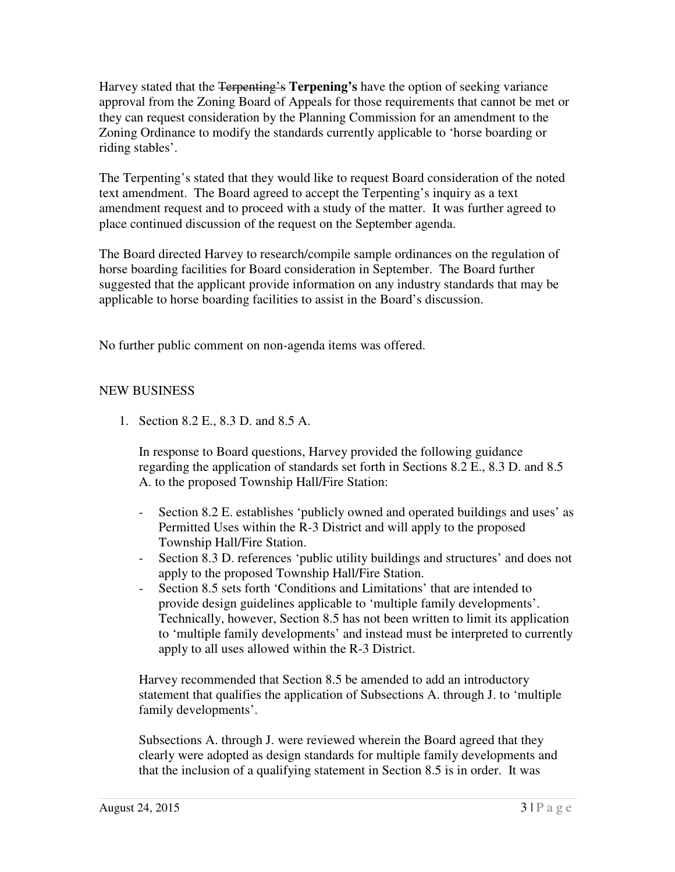Harvey stated that the Terpenting's **Terpening's** have the option of seeking variance approval from the Zoning Board of Appeals for those requirements that cannot be met or they can request consideration by the Planning Commission for an amendment to the Zoning Ordinance to modify the standards currently applicable to 'horse boarding or riding stables'.

 The Terpenting's stated that they would like to request Board consideration of the noted text amendment. The Board agreed to accept the Terpenting's inquiry as a text amendment request and to proceed with a study of the matter. It was further agreed to place continued discussion of the request on the September agenda.

 The Board directed Harvey to research/compile sample ordinances on the regulation of horse boarding facilities for Board consideration in September. The Board further suggested that the applicant provide information on any industry standards that may be applicable to horse boarding facilities to assist in the Board's discussion.

No further public comment on non-agenda items was offered.

## NEW BUSINESS

1. Section 8.2 E., 8.3 D. and 8.5 A.

 In response to Board questions, Harvey provided the following guidance regarding the application of standards set forth in Sections 8.2 E., 8.3 D. and 8.5 A. to the proposed Township Hall/Fire Station:

- - Section 8.2 E. establishes 'publicly owned and operated buildings and uses' as Permitted Uses within the R-3 District and will apply to the proposed Township Hall/Fire Station.
- apply to the proposed Township Hall/Fire Station. - Section 8.3 D. references 'public utility buildings and structures' and does not
- - Section 8.5 sets forth 'Conditions and Limitations' that are intended to provide design guidelines applicable to 'multiple family developments'. Technically, however, Section 8.5 has not been written to limit its application to 'multiple family developments' and instead must be interpreted to currently apply to all uses allowed within the R-3 District.

 Harvey recommended that Section 8.5 be amended to add an introductory statement that qualifies the application of Subsections A. through J. to 'multiple family developments'.

family developments'.<br>Subsections A. through J. were reviewed wherein the Board agreed that they clearly were adopted as design standards for multiple family developments and that the inclusion of a qualifying statement in Section 8.5 is in order. It was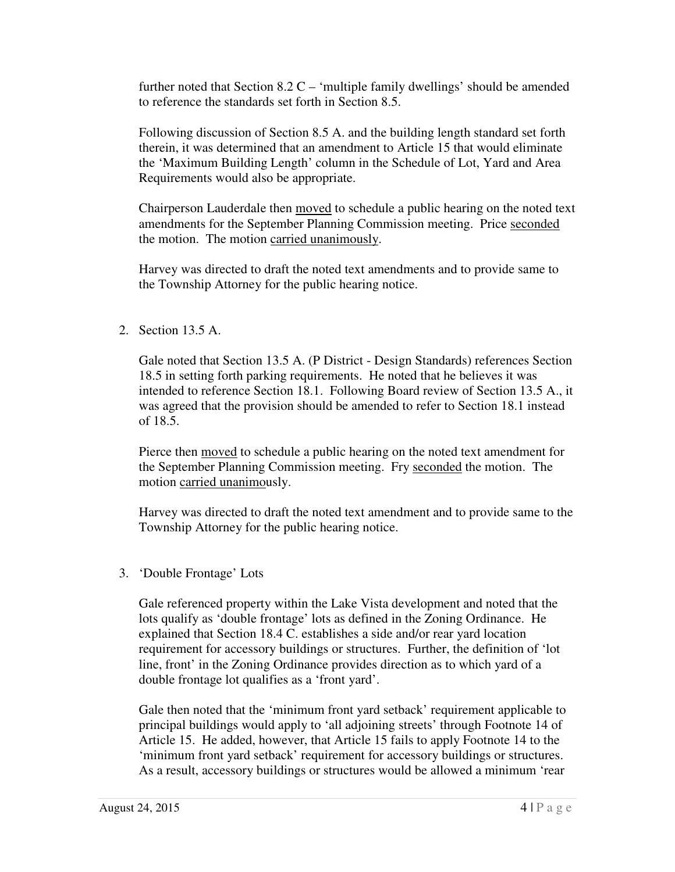further noted that Section  $8.2 \text{ C}$  – 'multiple family dwellings' should be amended to reference the standards set forth in Section 8.5.

 Following discussion of Section 8.5 A. and the building length standard set forth therein, it was determined that an amendment to Article 15 that would eliminate the 'Maximum Building Length' column in the Schedule of Lot, Yard and Area Requirements would also be appropriate.

Chairperson Lauderdale then moved to schedule a public hearing on the noted text amendments for the September Planning Commission meeting. Price seconded the motion. The motion carried unanimously.

 Harvey was directed to draft the noted text amendments and to provide same to the Township Attorney for the public hearing notice.

2. Section 13.5 A.

 Gale noted that Section 13.5 A. (P District - Design Standards) references Section 18.5 in setting forth parking requirements. He noted that he believes it was intended to reference Section 18.1. Following Board review of Section 13.5 A., it was agreed that the provision should be amended to refer to Section 18.1 instead of 18.5.

Pierce then moved to schedule a public hearing on the noted text amendment for the September Planning Commission meeting. Fry seconded the motion. The motion carried unanimously.

 Harvey was directed to draft the noted text amendment and to provide same to the Township Attorney for the public hearing notice.

3. 'Double Frontage' Lots

 Gale referenced property within the Lake Vista development and noted that the lots qualify as 'double frontage' lots as defined in the Zoning Ordinance. He explained that Section 18.4 C. establishes a side and/or rear yard location requirement for accessory buildings or structures. Further, the definition of 'lot line, front' in the Zoning Ordinance provides direction as to which yard of a double frontage lot qualifies as a 'front yard'.

 Gale then noted that the 'minimum front yard setback' requirement applicable to principal buildings would apply to 'all adjoining streets' through Footnote 14 of Article 15. He added, however, that Article 15 fails to apply Footnote 14 to the 'minimum front yard setback' requirement for accessory buildings or structures. As a result, accessory buildings or structures would be allowed a minimum 'rear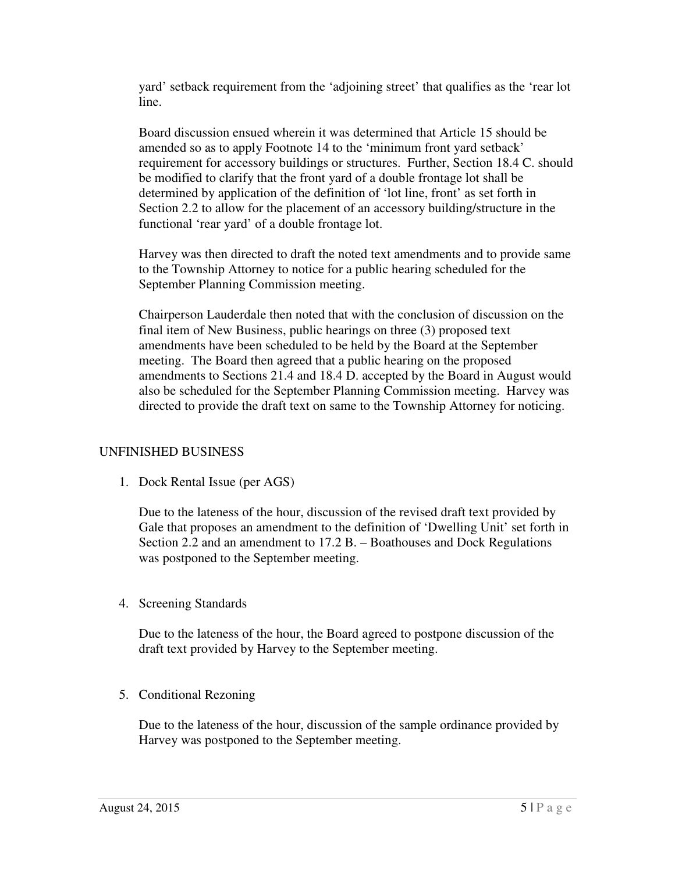yard' setback requirement from the 'adjoining street' that qualifies as the 'rear lot line.

 Board discussion ensued wherein it was determined that Article 15 should be amended so as to apply Footnote 14 to the 'minimum front yard setback' requirement for accessory buildings or structures. Further, Section 18.4 C. should be modified to clarify that the front yard of a double frontage lot shall be determined by application of the definition of 'lot line, front' as set forth in Section 2.2 to allow for the placement of an accessory building/structure in the functional 'rear yard' of a double frontage lot.

 Harvey was then directed to draft the noted text amendments and to provide same to the Township Attorney to notice for a public hearing scheduled for the September Planning Commission meeting.

 Chairperson Lauderdale then noted that with the conclusion of discussion on the final item of New Business, public hearings on three (3) proposed text amendments have been scheduled to be held by the Board at the September meeting. The Board then agreed that a public hearing on the proposed amendments to Sections 21.4 and 18.4 D. accepted by the Board in August would also be scheduled for the September Planning Commission meeting. Harvey was directed to provide the draft text on same to the Township Attorney for noticing.

### UNFINISHED BUSINESS

1. Dock Rental Issue (per AGS)

 Due to the lateness of the hour, discussion of the revised draft text provided by Gale that proposes an amendment to the definition of 'Dwelling Unit' set forth in Section 2.2 and an amendment to 17.2 B. – Boathouses and Dock Regulations was postponed to the September meeting.

4. Screening Standards

 Due to the lateness of the hour, the Board agreed to postpone discussion of the draft text provided by Harvey to the September meeting.

5. Conditional Rezoning

 Due to the lateness of the hour, discussion of the sample ordinance provided by Harvey was postponed to the September meeting.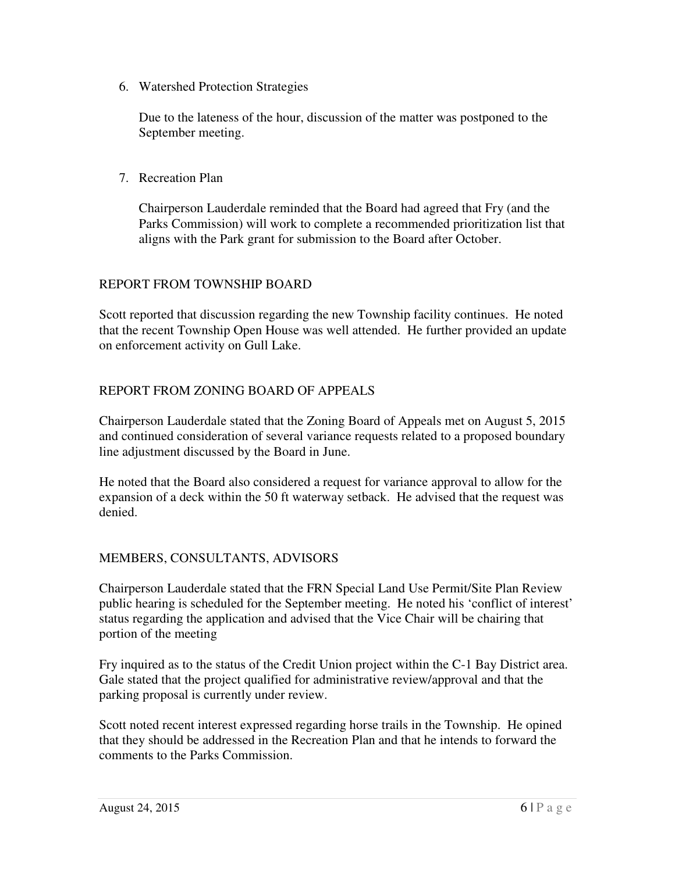6. Watershed Protection Strategies

 Due to the lateness of the hour, discussion of the matter was postponed to the September meeting.

7. Recreation Plan

 Chairperson Lauderdale reminded that the Board had agreed that Fry (and the Parks Commission) will work to complete a recommended prioritization list that aligns with the Park grant for submission to the Board after October.

### REPORT FROM TOWNSHIP BOARD

 Scott reported that discussion regarding the new Township facility continues. He noted that the recent Township Open House was well attended. He further provided an update on enforcement activity on Gull Lake.

## REPORT FROM ZONING BOARD OF APPEALS

 Chairperson Lauderdale stated that the Zoning Board of Appeals met on August 5, 2015 and continued consideration of several variance requests related to a proposed boundary line adjustment discussed by the Board in June.

 He noted that the Board also considered a request for variance approval to allow for the expansion of a deck within the 50 ft waterway setback. He advised that the request was denied.

### MEMBERS, CONSULTANTS, ADVISORS

 Chairperson Lauderdale stated that the FRN Special Land Use Permit/Site Plan Review public hearing is scheduled for the September meeting. He noted his 'conflict of interest' status regarding the application and advised that the Vice Chair will be chairing that portion of the meeting

 Fry inquired as to the status of the Credit Union project within the C-1 Bay District area. Gale stated that the project qualified for administrative review/approval and that the parking proposal is currently under review.

 Scott noted recent interest expressed regarding horse trails in the Township. He opined that they should be addressed in the Recreation Plan and that he intends to forward the comments to the Parks Commission.